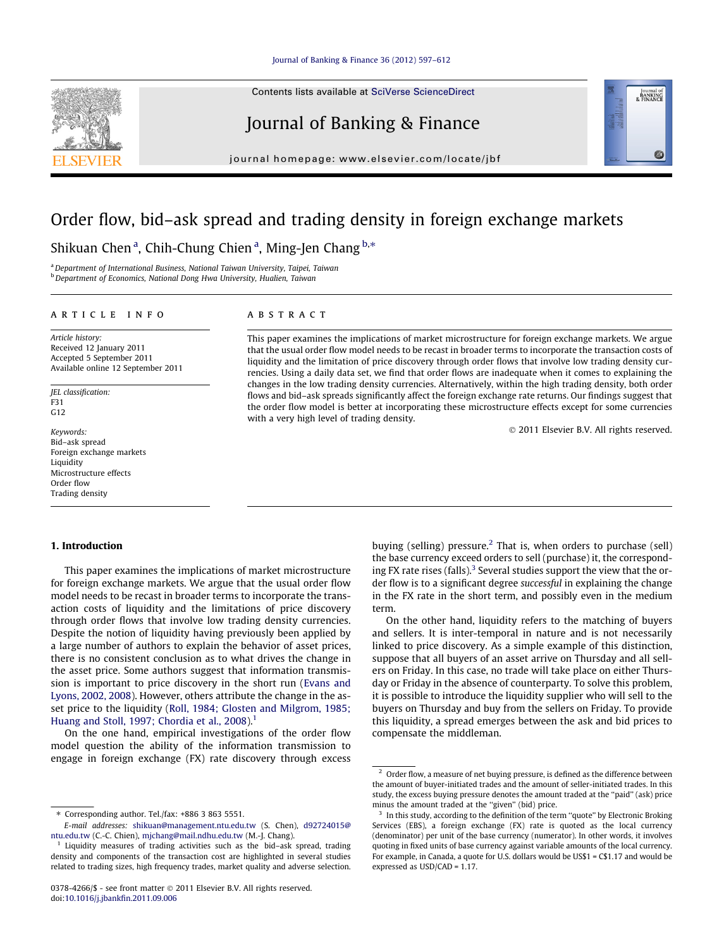Contents lists available at [SciVerse ScienceDirect](http://www.sciencedirect.com/science/journal/03784266)

## Journal of Banking & Finance

journal homepage: [www.elsevier.com/locate/jbf](http://www.elsevier.com/locate/jbf)

## Order flow, bid–ask spread and trading density in foreign exchange markets

Shikuan Chen<sup>a</sup>, Chih-Chung Chien<sup>a</sup>, Ming-Jen Chang <sup>b,\*</sup>

<sup>a</sup>Department of International Business, National Taiwan University, Taipei, Taiwan b Department of Economics, National Dong Hwa University, Hualien, Taiwan

### article info

Article history: Received 12 January 2011 Accepted 5 September 2011 Available online 12 September 2011

JEL classification:  $F31$ G12

Keywords: Bid–ask spread Foreign exchange markets **Liquidity** Microstructure effects Order flow Trading density

# **ABSTRACT**

This paper examines the implications of market microstructure for foreign exchange markets. We argue that the usual order flow model needs to be recast in broader terms to incorporate the transaction costs of liquidity and the limitation of price discovery through order flows that involve low trading density currencies. Using a daily data set, we find that order flows are inadequate when it comes to explaining the changes in the low trading density currencies. Alternatively, within the high trading density, both order flows and bid–ask spreads significantly affect the foreign exchange rate returns. Our findings suggest that the order flow model is better at incorporating these microstructure effects except for some currencies with a very high level of trading density.

- 2011 Elsevier B.V. All rights reserved.

Journal of<br>BANKING<br>& FINANCE

#### 1. Introduction

This paper examines the implications of market microstructure for foreign exchange markets. We argue that the usual order flow model needs to be recast in broader terms to incorporate the transaction costs of liquidity and the limitations of price discovery through order flows that involve low trading density currencies. Despite the notion of liquidity having previously been applied by a large number of authors to explain the behavior of asset prices, there is no consistent conclusion as to what drives the change in the asset price. Some authors suggest that information transmission is important to price discovery in the short run [\(Evans and](#page--1-0) [Lyons, 2002, 2008\)](#page--1-0). However, others attribute the change in the asset price to the liquidity ([Roll, 1984; Glosten and Milgrom, 1985;](#page--1-0) [Huang and Stoll, 1997; Chordia et al., 2008\)](#page--1-0).<sup>1</sup>

On the one hand, empirical investigations of the order flow model question the ability of the information transmission to engage in foreign exchange (FX) rate discovery through excess buying (selling) pressure.<sup>2</sup> That is, when orders to purchase (sell) the base currency exceed orders to sell (purchase) it, the corresponding FX rate rises (falls). $3$  Several studies support the view that the order flow is to a significant degree successful in explaining the change in the FX rate in the short term, and possibly even in the medium term.

On the other hand, liquidity refers to the matching of buyers and sellers. It is inter-temporal in nature and is not necessarily linked to price discovery. As a simple example of this distinction, suppose that all buyers of an asset arrive on Thursday and all sellers on Friday. In this case, no trade will take place on either Thursday or Friday in the absence of counterparty. To solve this problem, it is possible to introduce the liquidity supplier who will sell to the buyers on Thursday and buy from the sellers on Friday. To provide this liquidity, a spread emerges between the ask and bid prices to compensate the middleman.



<sup>⇑</sup> Corresponding author. Tel./fax: +886 3 863 5551.

E-mail addresses: [shikuan@management.ntu.edu.tw](mailto:shikuan@management.ntu.edu.tw) (S. Chen), [d92724015@](mailto:d92724015@ ntu.edu.tw) [ntu.edu.tw](mailto:d92724015@ ntu.edu.tw) (C.-C. Chien), [mjchang@mail.ndhu.edu.tw](mailto:mjchang@mail.ndhu.edu.tw) (M.-J. Chang).

 $1$  Liquidity measures of trading activities such as the bid-ask spread, trading density and components of the transaction cost are highlighted in several studies related to trading sizes, high frequency trades, market quality and adverse selection.

 $^{\rm 2}$  Order flow, a measure of net buying pressure, is defined as the difference between the amount of buyer-initiated trades and the amount of seller-initiated trades. In this study, the excess buying pressure denotes the amount traded at the ''paid'' (ask) price minus the amount traded at the "given" (bid) price.

<sup>&</sup>lt;sup>3</sup> In this study, according to the definition of the term "quote" by Electronic Broking Services (EBS), a foreign exchange (FX) rate is quoted as the local currency (denominator) per unit of the base currency (numerator). In other words, it involves quoting in fixed units of base currency against variable amounts of the local currency. For example, in Canada, a quote for U.S. dollars would be US\$1 = C\$1.17 and would be expressed as USD/CAD = 1.17.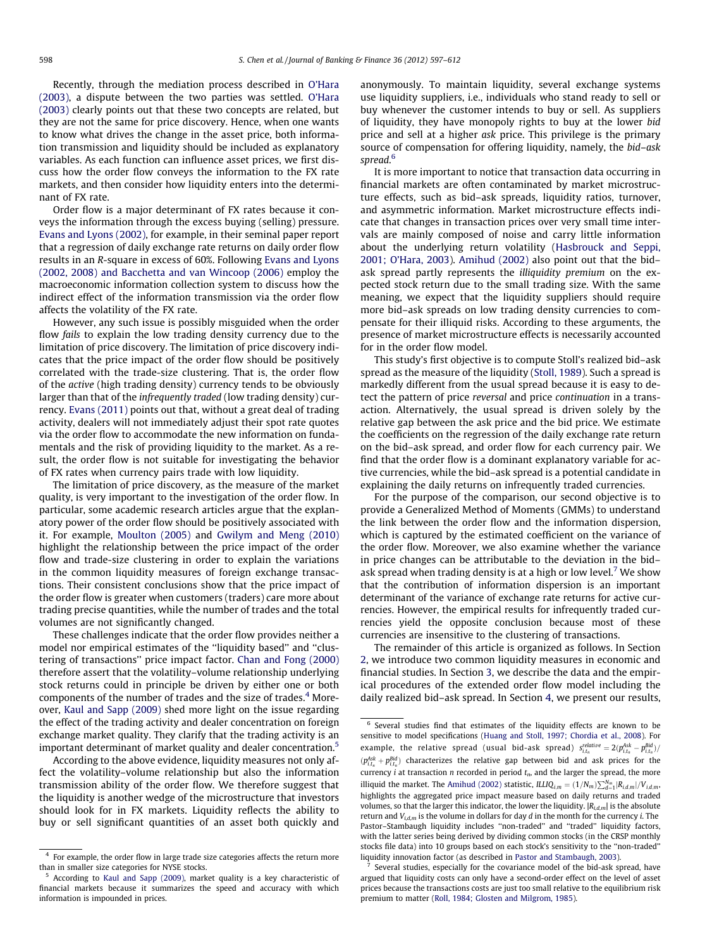Recently, through the mediation process described in [O'Hara](#page--1-0) [\(2003\),](#page--1-0) a dispute between the two parties was settled. [O'Hara](#page--1-0) [\(2003\)](#page--1-0) clearly points out that these two concepts are related, but they are not the same for price discovery. Hence, when one wants to know what drives the change in the asset price, both information transmission and liquidity should be included as explanatory variables. As each function can influence asset prices, we first discuss how the order flow conveys the information to the FX rate markets, and then consider how liquidity enters into the determinant of FX rate.

Order flow is a major determinant of FX rates because it conveys the information through the excess buying (selling) pressure. [Evans and Lyons \(2002\),](#page--1-0) for example, in their seminal paper report that a regression of daily exchange rate returns on daily order flow results in an R-square in excess of 60%. Following [Evans and Lyons](#page--1-0) [\(2002, 2008\) and Bacchetta and van Wincoop \(2006\)](#page--1-0) employ the macroeconomic information collection system to discuss how the indirect effect of the information transmission via the order flow affects the volatility of the FX rate.

However, any such issue is possibly misguided when the order flow fails to explain the low trading density currency due to the limitation of price discovery. The limitation of price discovery indicates that the price impact of the order flow should be positively correlated with the trade-size clustering. That is, the order flow of the active (high trading density) currency tends to be obviously larger than that of the infrequently traded (low trading density) currency. [Evans \(2011\)](#page--1-0) points out that, without a great deal of trading activity, dealers will not immediately adjust their spot rate quotes via the order flow to accommodate the new information on fundamentals and the risk of providing liquidity to the market. As a result, the order flow is not suitable for investigating the behavior of FX rates when currency pairs trade with low liquidity.

The limitation of price discovery, as the measure of the market quality, is very important to the investigation of the order flow. In particular, some academic research articles argue that the explanatory power of the order flow should be positively associated with it. For example, [Moulton \(2005\)](#page--1-0) and [Gwilym and Meng \(2010\)](#page--1-0) highlight the relationship between the price impact of the order flow and trade-size clustering in order to explain the variations in the common liquidity measures of foreign exchange transactions. Their consistent conclusions show that the price impact of the order flow is greater when customers (traders) care more about trading precise quantities, while the number of trades and the total volumes are not significantly changed.

These challenges indicate that the order flow provides neither a model nor empirical estimates of the ''liquidity based'' and ''clustering of transactions'' price impact factor. [Chan and Fong \(2000\)](#page--1-0) therefore assert that the volatility–volume relationship underlying stock returns could in principle be driven by either one or both components of the number of trades and the size of trades.<sup>4</sup> Moreover, [Kaul and Sapp \(2009\)](#page--1-0) shed more light on the issue regarding the effect of the trading activity and dealer concentration on foreign exchange market quality. They clarify that the trading activity is an important determinant of market quality and dealer concentration.<sup>5</sup>

According to the above evidence, liquidity measures not only affect the volatility–volume relationship but also the information transmission ability of the order flow. We therefore suggest that the liquidity is another wedge of the microstructure that investors should look for in FX markets. Liquidity reflects the ability to buy or sell significant quantities of an asset both quickly and

anonymously. To maintain liquidity, several exchange systems use liquidity suppliers, i.e., individuals who stand ready to sell or buy whenever the customer intends to buy or sell. As suppliers of liquidity, they have monopoly rights to buy at the lower bid price and sell at a higher ask price. This privilege is the primary source of compensation for offering liquidity, namely, the bid–ask spread. 6

It is more important to notice that transaction data occurring in financial markets are often contaminated by market microstructure effects, such as bid–ask spreads, liquidity ratios, turnover, and asymmetric information. Market microstructure effects indicate that changes in transaction prices over very small time intervals are mainly composed of noise and carry little information about the underlying return volatility ([Hasbrouck and Seppi,](#page--1-0) [2001; O'Hara, 2003](#page--1-0)). [Amihud \(2002\)](#page--1-0) also point out that the bid– ask spread partly represents the illiquidity premium on the expected stock return due to the small trading size. With the same meaning, we expect that the liquidity suppliers should require more bid–ask spreads on low trading density currencies to compensate for their illiquid risks. According to these arguments, the presence of market microstructure effects is necessarily accounted for in the order flow model.

This study's first objective is to compute Stoll's realized bid–ask spread as the measure of the liquidity [\(Stoll, 1989\)](#page--1-0). Such a spread is markedly different from the usual spread because it is easy to detect the pattern of price reversal and price continuation in a transaction. Alternatively, the usual spread is driven solely by the relative gap between the ask price and the bid price. We estimate the coefficients on the regression of the daily exchange rate return on the bid–ask spread, and order flow for each currency pair. We find that the order flow is a dominant explanatory variable for active currencies, while the bid–ask spread is a potential candidate in explaining the daily returns on infrequently traded currencies.

For the purpose of the comparison, our second objective is to provide a Generalized Method of Moments (GMMs) to understand the link between the order flow and the information dispersion, which is captured by the estimated coefficient on the variance of the order flow. Moreover, we also examine whether the variance in price changes can be attributable to the deviation in the bid– ask spread when trading density is at a high or low level.<sup>7</sup> We show that the contribution of information dispersion is an important determinant of the variance of exchange rate returns for active currencies. However, the empirical results for infrequently traded currencies yield the opposite conclusion because most of these currencies are insensitive to the clustering of transactions.

The remainder of this article is organized as follows. In Section [2](#page--1-0), we introduce two common liquidity measures in economic and financial studies. In Section [3,](#page--1-0) we describe the data and the empirical procedures of the extended order flow model including the daily realized bid–ask spread. In Section [4](#page--1-0), we present our results,

<sup>4</sup> For example, the order flow in large trade size categories affects the return more than in smaller size categories for NYSE stocks.

<sup>5</sup> According to [Kaul and Sapp \(2009\)](#page--1-0), market quality is a key characteristic of financial markets because it summarizes the speed and accuracy with which information is impounded in prices.

<sup>6</sup> Several studies find that estimates of the liquidity effects are known to be sensitive to model specifications ([Huang and Stoll, 1997; Chordia et al., 2008\)](#page--1-0). For example, the relative spread (usual bid-ask spread)  $s_{i,t_n}^{relative} = 2(p_{i,t_n}^{Ask} - p_{i,t_n}^{Bid})$  $(p_{i,t_n}^{Ask} + p_{i,t_n}^{Bid})$  characterizes the relative gap between bid and ask prices for the currency  $\hat{i}$  at transaction *n* recorded in period  $t_n$ , and the larger the spread, the more illiquid the market. The [Amihud \(2002\)](#page--1-0) statistic,  $ILIQ_{i,m} = (1/N_m) \sum_{d=1}^{N_m} |R_{i,d,m}|/V_{i,d,m}$ highlights the aggregated price impact measure based on daily returns and traded volumes, so that the larger this indicator, the lower the liquidity.  $|R_{i,d,m}|$  is the absolute return and  $V_{i,d,m}$  is the volume in dollars for day  $d$  in the month for the currency  $i$ . The Pastor–Stambaugh liquidity includes ''non-traded'' and ''traded'' liquidity factors, with the latter series being derived by dividing common stocks (in the CRSP monthly stocks file data) into 10 groups based on each stock's sensitivity to the ''non-traded'' liquidity innovation factor (as described in [Pastor and Stambaugh, 2003](#page--1-0)).

<sup>7</sup> Several studies, especially for the covariance model of the bid-ask spread, have argued that liquidity costs can only have a second-order effect on the level of asset prices because the transactions costs are just too small relative to the equilibrium risk premium to matter ([Roll, 1984; Glosten and Milgrom, 1985](#page--1-0)).